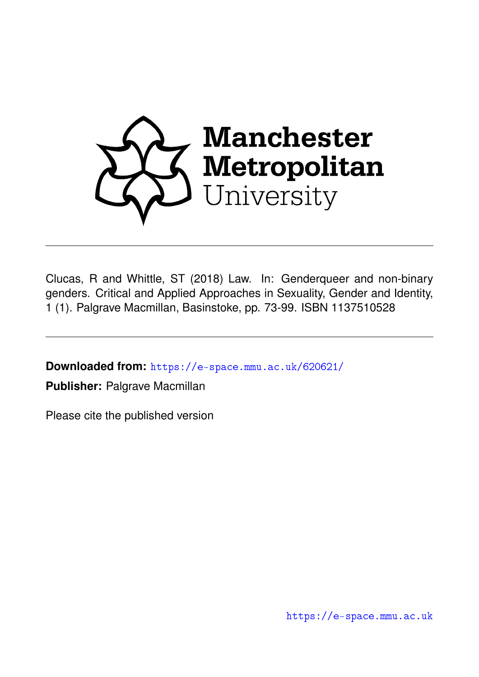

Clucas, R and Whittle, ST (2018) Law. In: Genderqueer and non-binary genders. Critical and Applied Approaches in Sexuality, Gender and Identity, 1 (1). Palgrave Macmillan, Basinstoke, pp. 73-99. ISBN 1137510528

**Downloaded from:** <https://e-space.mmu.ac.uk/620621/>

**Publisher:** Palgrave Macmillan

Please cite the published version

<https://e-space.mmu.ac.uk>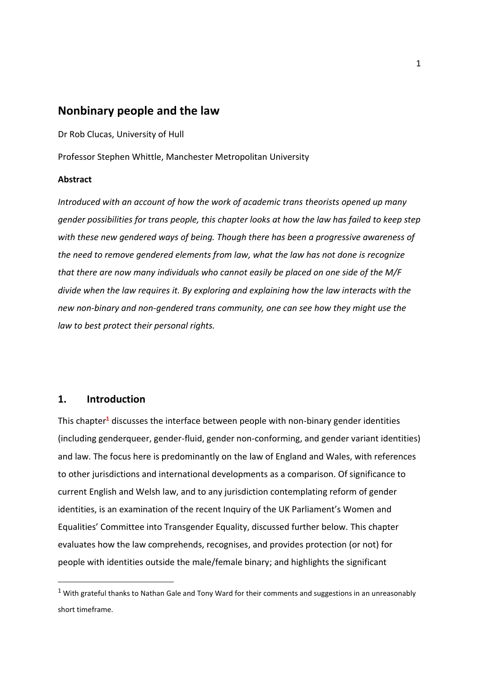# **Nonbinary people and the law**

Dr Rob Clucas, University of Hull

Professor Stephen Whittle, Manchester Metropolitan University

#### **Abstract**

*Introduced with an account of how the work of academic trans theorists opened up many gender possibilities for trans people, this chapter looks at how the law has failed to keep step with these new gendered ways of being. Though there has been a progressive awareness of the need to remove gendered elements from law, what the law has not done is recognize that there are now many individuals who cannot easily be placed on one side of the M/F divide when the law requires it. By exploring and explaining how the law interacts with the new non-binary and non-gendered trans community, one can see how they might use the law to best protect their personal rights.*

## **1. Introduction**

<u>.</u>

This chapter**<sup>1</sup>** discusses the interface between people with non-binary gender identities (including genderqueer, gender-fluid, gender non-conforming, and gender variant identities) and law. The focus here is predominantly on the law of England and Wales, with references to other jurisdictions and international developments as a comparison. Of significance to current English and Welsh law, and to any jurisdiction contemplating reform of gender identities, is an examination of the recent Inquiry of the UK Parliament's Women and Equalities' Committee into Transgender Equality, discussed further below. This chapter evaluates how the law comprehends, recognises, and provides protection (or not) for people with identities outside the male/female binary; and highlights the significant

 $1$  With grateful thanks to Nathan Gale and Tony Ward for their comments and suggestions in an unreasonably short timeframe.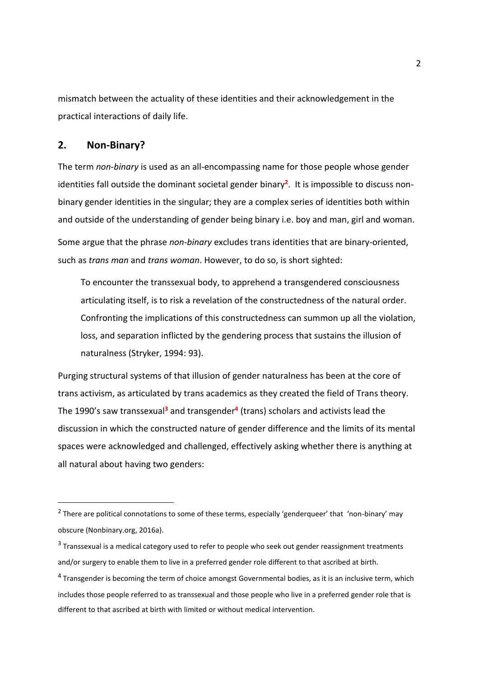mismatch between the actuality of these identities and their acknowledgement in the practical interactions of daily life.

## **2. Non-Binary?**

<u>.</u>

The term *non-binary* is used as an all-encompassing name for those people whose gender identities fall outside the dominant societal gender binary**<sup>2</sup>** . It is impossible to discuss nonbinary gender identities in the singular; they are a complex series of identities both within and outside of the understanding of gender being binary i.e. boy and man, girl and woman. Some argue that the phrase *non-binary* excludes trans identities that are binary-oriented, such as *trans man* and *trans woman*. However, to do so, is short sighted:

To encounter the transsexual body, to apprehend a transgendered consciousness articulating itself, is to risk a revelation of the constructedness of the natural order. Confronting the implications of this constructedness can summon up all the violation, loss, and separation inflicted by the gendering process that sustains the illusion of naturalness (Stryker, 1994: 93).

Purging structural systems of that illusion of gender naturalness has been at the core of trans activism, as articulated by trans academics as they created the field of Trans theory. The 1990's saw transsexual**<sup>3</sup>** and transgender**<sup>4</sup>** (trans) scholars and activists lead the discussion in which the constructed nature of gender difference and the limits of its mental spaces were acknowledged and challenged, effectively asking whether there is anything at all natural about having two genders:

<sup>&</sup>lt;sup>2</sup> There are political connotations to some of these terms, especially 'genderqueer' that 'non-binary' may obscure (Nonbinary.org, 2016a).

<sup>&</sup>lt;sup>3</sup> Transsexual is a medical category used to refer to people who seek out gender reassignment treatments and/or surgery to enable them to live in a preferred gender role different to that ascribed at birth.

<sup>&</sup>lt;sup>4</sup> Transgender is becoming the term of choice amongst Governmental bodies, as it is an inclusive term, which includes those people referred to as transsexual and those people who live in a preferred gender role that is different to that ascribed at birth with limited or without medical intervention.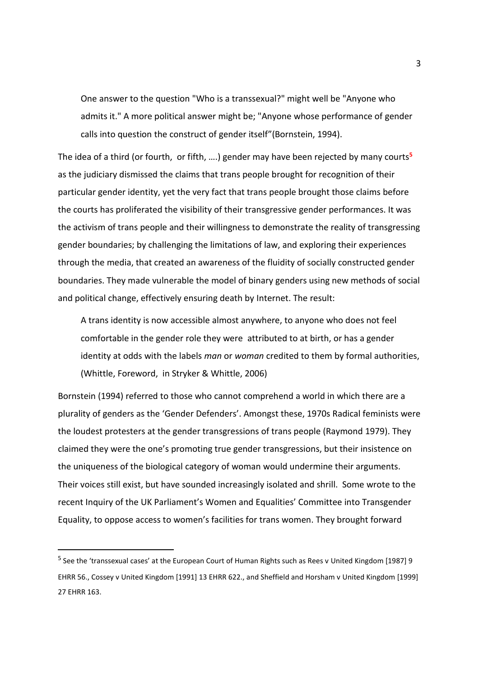One answer to the question "Who is a transsexual?" might well be "Anyone who admits it." A more political answer might be; "Anyone whose performance of gender calls into question the construct of gender itself"(Bornstein, 1994).

The idea of a third (or fourth, or fifth, ….) gender may have been rejected by many courts**<sup>5</sup>** as the judiciary dismissed the claims that trans people brought for recognition of their particular gender identity, yet the very fact that trans people brought those claims before the courts has proliferated the visibility of their transgressive gender performances. It was the activism of trans people and their willingness to demonstrate the reality of transgressing gender boundaries; by challenging the limitations of law, and exploring their experiences through the media, that created an awareness of the fluidity of socially constructed gender boundaries. They made vulnerable the model of binary genders using new methods of social and political change, effectively ensuring death by Internet. The result:

A trans identity is now accessible almost anywhere, to anyone who does not feel comfortable in the gender role they were attributed to at birth, or has a gender identity at odds with the labels *man* or *woman* credited to them by formal authorities, (Whittle, Foreword, in Stryker & Whittle, 2006)

Bornstein (1994) referred to those who cannot comprehend a world in which there are a plurality of genders as the 'Gender Defenders'. Amongst these, 1970s Radical feminists were the loudest protesters at the gender transgressions of trans people (Raymond 1979). They claimed they were the one's promoting true gender transgressions, but their insistence on the uniqueness of the biological category of woman would undermine their arguments. Their voices still exist, but have sounded increasingly isolated and shrill. Some wrote to the recent Inquiry of the UK Parliament's Women and Equalities' Committee into Transgender Equality, to oppose access to women's facilities for trans women. They brought forward

<u>.</u>

<sup>&</sup>lt;sup>5</sup> See the 'transsexual cases' at the European Court of Human Rights such as Rees v United Kingdom [1987] 9 EHRR 56., Cossey v United Kingdom [1991] 13 EHRR 622., and Sheffield and Horsham v United Kingdom [1999] 27 EHRR 163.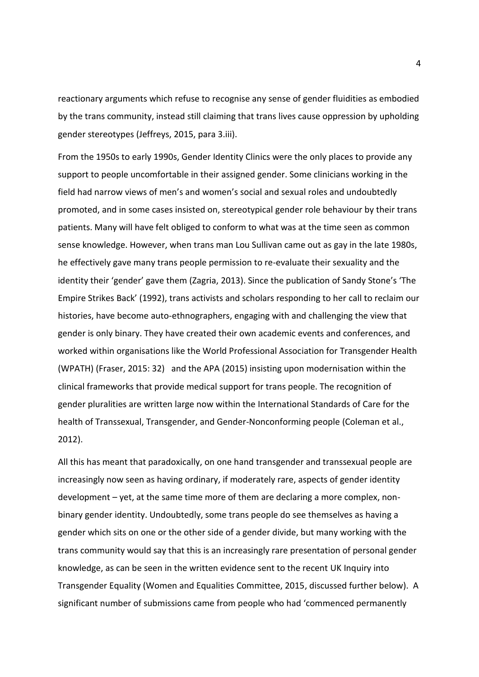reactionary arguments which refuse to recognise any sense of gender fluidities as embodied by the trans community, instead still claiming that trans lives cause oppression by upholding gender stereotypes (Jeffreys, 2015, para 3.iii).

From the 1950s to early 1990s, Gender Identity Clinics were the only places to provide any support to people uncomfortable in their assigned gender. Some clinicians working in the field had narrow views of men's and women's social and sexual roles and undoubtedly promoted, and in some cases insisted on, stereotypical gender role behaviour by their trans patients. Many will have felt obliged to conform to what was at the time seen as common sense knowledge. However, when trans man Lou Sullivan came out as gay in the late 1980s, he effectively gave many trans people permission to re-evaluate their sexuality and the identity their 'gender' gave them (Zagria, 2013). Since the publication of Sandy Stone's 'The Empire Strikes Back' (1992), trans activists and scholars responding to her call to reclaim our histories, have become auto-ethnographers, engaging with and challenging the view that gender is only binary. They have created their own academic events and conferences, and worked within organisations like the World Professional Association for Transgender Health (WPATH) (Fraser, 2015: 32) and the APA (2015) insisting upon modernisation within the clinical frameworks that provide medical support for trans people. The recognition of gender pluralities are written large now within the International Standards of Care for the health of Transsexual, Transgender, and Gender-Nonconforming people (Coleman et al., 2012).

All this has meant that paradoxically, on one hand transgender and transsexual people are increasingly now seen as having ordinary, if moderately rare, aspects of gender identity development – yet, at the same time more of them are declaring a more complex, nonbinary gender identity. Undoubtedly, some trans people do see themselves as having a gender which sits on one or the other side of a gender divide, but many working with the trans community would say that this is an increasingly rare presentation of personal gender knowledge, as can be seen in the written evidence sent to the recent UK Inquiry into Transgender Equality (Women and Equalities Committee, 2015, discussed further below). A significant number of submissions came from people who had 'commenced permanently

4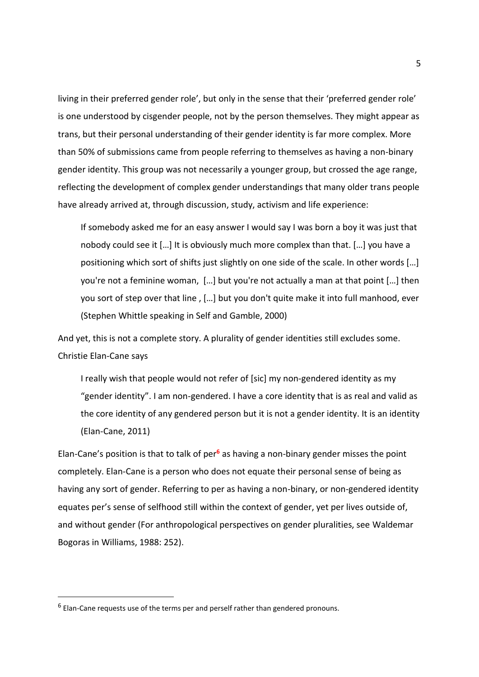living in their preferred gender role', but only in the sense that their 'preferred gender role' is one understood by cisgender people, not by the person themselves. They might appear as trans, but their personal understanding of their gender identity is far more complex. More than 50% of submissions came from people referring to themselves as having a non-binary gender identity. This group was not necessarily a younger group, but crossed the age range, reflecting the development of complex gender understandings that many older trans people have already arrived at, through discussion, study, activism and life experience:

If somebody asked me for an easy answer I would say I was born a boy it was just that nobody could see it […] It is obviously much more complex than that. […] you have a positioning which sort of shifts just slightly on one side of the scale. In other words […] you're not a feminine woman, […] but you're not actually a man at that point […] then you sort of step over that line , […] but you don't quite make it into full manhood, ever (Stephen Whittle speaking in Self and Gamble, 2000)

And yet, this is not a complete story. A plurality of gender identities still excludes some. Christie Elan-Cane says

I really wish that people would not refer of [sic] my non-gendered identity as my "gender identity". I am non-gendered. I have a core identity that is as real and valid as the core identity of any gendered person but it is not a gender identity. It is an identity (Elan-Cane, 2011)

Elan-Cane's position is that to talk of per**<sup>6</sup>** as having a non-binary gender misses the point completely. Elan-Cane is a person who does not equate their personal sense of being as having any sort of gender. Referring to per as having a non-binary, or non-gendered identity equates per's sense of selfhood still within the context of gender, yet per lives outside of, and without gender (For anthropological perspectives on gender pluralities, see Waldemar Bogoras in Williams, 1988: 252).

1

 $<sup>6</sup>$  Elan-Cane requests use of the terms per and perself rather than gendered pronouns.</sup>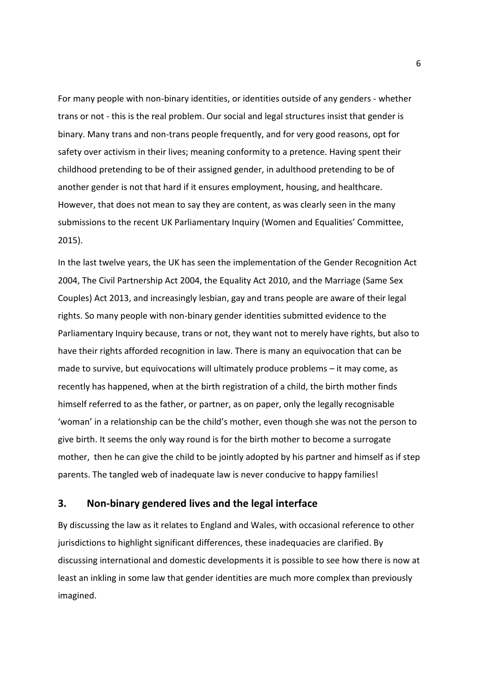For many people with non-binary identities, or identities outside of any genders - whether trans or not - this is the real problem. Our social and legal structures insist that gender is binary. Many trans and non-trans people frequently, and for very good reasons, opt for safety over activism in their lives; meaning conformity to a pretence. Having spent their childhood pretending to be of their assigned gender, in adulthood pretending to be of another gender is not that hard if it ensures employment, housing, and healthcare. However, that does not mean to say they are content, as was clearly seen in the many submissions to the recent UK Parliamentary Inquiry (Women and Equalities' Committee, 2015).

In the last twelve years, the UK has seen the implementation of the Gender Recognition Act 2004, The Civil Partnership Act 2004, the Equality Act 2010, and the Marriage (Same Sex Couples) Act 2013, and increasingly lesbian, gay and trans people are aware of their legal rights. So many people with non-binary gender identities submitted evidence to the Parliamentary Inquiry because, trans or not, they want not to merely have rights, but also to have their rights afforded recognition in law. There is many an equivocation that can be made to survive, but equivocations will ultimately produce problems – it may come, as recently has happened, when at the birth registration of a child, the birth mother finds himself referred to as the father, or partner, as on paper, only the legally recognisable 'woman' in a relationship can be the child's mother, even though she was not the person to give birth. It seems the only way round is for the birth mother to become a surrogate mother, then he can give the child to be jointly adopted by his partner and himself as if step parents. The tangled web of inadequate law is never conducive to happy families!

## **3. Non-binary gendered lives and the legal interface**

By discussing the law as it relates to England and Wales, with occasional reference to other jurisdictions to highlight significant differences, these inadequacies are clarified. By discussing international and domestic developments it is possible to see how there is now at least an inkling in some law that gender identities are much more complex than previously imagined.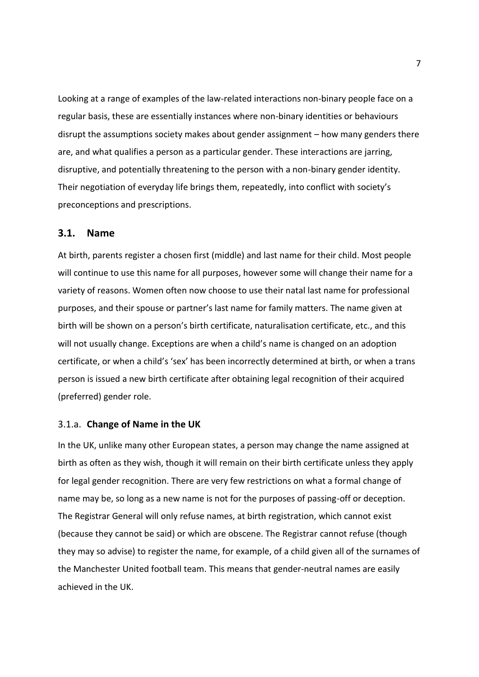Looking at a range of examples of the law-related interactions non-binary people face on a regular basis, these are essentially instances where non-binary identities or behaviours disrupt the assumptions society makes about gender assignment – how many genders there are, and what qualifies a person as a particular gender. These interactions are jarring, disruptive, and potentially threatening to the person with a non-binary gender identity. Their negotiation of everyday life brings them, repeatedly, into conflict with society's preconceptions and prescriptions.

## **3.1. Name**

At birth, parents register a chosen first (middle) and last name for their child. Most people will continue to use this name for all purposes, however some will change their name for a variety of reasons. Women often now choose to use their natal last name for professional purposes, and their spouse or partner's last name for family matters. The name given at birth will be shown on a person's birth certificate, naturalisation certificate, etc., and this will not usually change. Exceptions are when a child's name is changed on an adoption certificate, or when a child's 'sex' has been incorrectly determined at birth, or when a trans person is issued a new birth certificate after obtaining legal recognition of their acquired (preferred) gender role.

#### 3.1.a. **Change of Name in the UK**

In the UK, unlike many other European states, a person may change the name assigned at birth as often as they wish, though it will remain on their birth certificate unless they apply for legal gender recognition. There are very few restrictions on what a formal change of name may be, so long as a new name is not for the purposes of passing-off or deception. The Registrar General will only refuse names, at birth registration, which cannot exist (because they cannot be said) or which are obscene. The Registrar cannot refuse (though they may so advise) to register the name, for example, of a child given all of the surnames of the Manchester United football team. This means that gender-neutral names are easily achieved in the UK.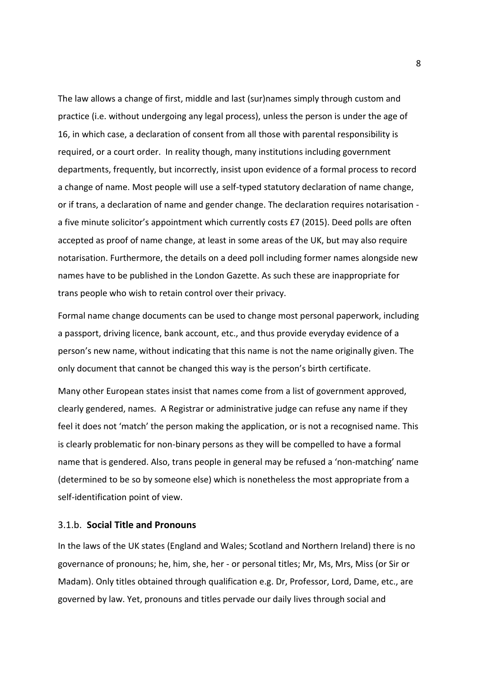The law allows a change of first, middle and last (sur)names simply through custom and practice (i.e. without undergoing any legal process), unless the person is under the age of 16, in which case, a declaration of consent from all those with parental responsibility is required, or a court order. In reality though, many institutions including government departments, frequently, but incorrectly, insist upon evidence of a formal process to record a change of name. Most people will use a self-typed statutory declaration of name change, or if trans, a declaration of name and gender change. The declaration requires notarisation a five minute solicitor's appointment which currently costs £7 (2015). Deed polls are often accepted as proof of name change, at least in some areas of the UK, but may also require notarisation. Furthermore, the details on a deed poll including former names alongside new names have to be published in the London Gazette. As such these are inappropriate for trans people who wish to retain control over their privacy.

Formal name change documents can be used to change most personal paperwork, including a passport, driving licence, bank account, etc., and thus provide everyday evidence of a person's new name, without indicating that this name is not the name originally given. The only document that cannot be changed this way is the person's birth certificate.

Many other European states insist that names come from a list of government approved, clearly gendered, names. A Registrar or administrative judge can refuse any name if they feel it does not 'match' the person making the application, or is not a recognised name. This is clearly problematic for non-binary persons as they will be compelled to have a formal name that is gendered. Also, trans people in general may be refused a 'non-matching' name (determined to be so by someone else) which is nonetheless the most appropriate from a self-identification point of view.

#### 3.1.b. **Social Title and Pronouns**

In the laws of the UK states (England and Wales; Scotland and Northern Ireland) there is no governance of pronouns; he, him, she, her - or personal titles; Mr, Ms, Mrs, Miss (or Sir or Madam). Only titles obtained through qualification e.g. Dr, Professor, Lord, Dame, etc., are governed by law. Yet, pronouns and titles pervade our daily lives through social and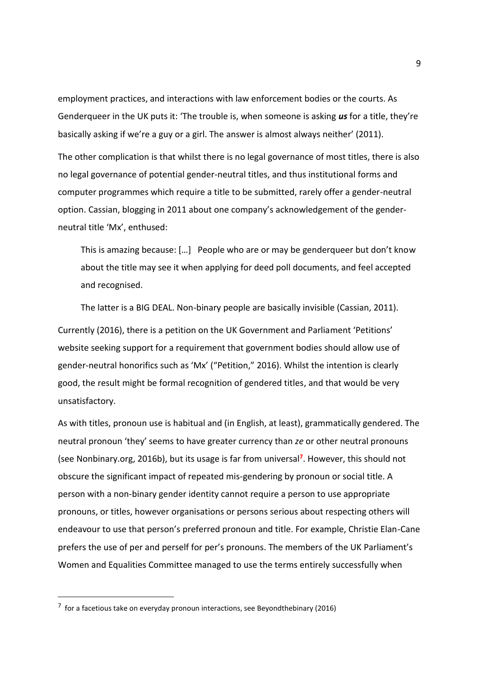employment practices, and interactions with law enforcement bodies or the courts. As Genderqueer in the UK puts it: 'The trouble is, when someone is asking *us* for a title, they're basically asking if we're a guy or a girl. The answer is almost always neither' (2011).

The other complication is that whilst there is no legal governance of most titles, there is also no legal governance of potential gender-neutral titles, and thus institutional forms and computer programmes which require a title to be submitted, rarely offer a gender-neutral option. Cassian, blogging in 2011 about one company's acknowledgement of the genderneutral title 'Mx', enthused:

This is amazing because: […] People who are or may be genderqueer but don't know about the title may see it when applying for deed poll documents, and feel accepted and recognised.

The latter is a BIG DEAL. Non-binary people are basically invisible (Cassian, 2011).

Currently (2016), there is a petition on the UK Government and Parliament 'Petitions' website seeking support for a requirement that government bodies should allow use of gender-neutral honorifics such as 'Mx' ("Petition," 2016). Whilst the intention is clearly good, the result might be formal recognition of gendered titles, and that would be very unsatisfactory.

As with titles, pronoun use is habitual and (in English, at least), grammatically gendered. The neutral pronoun 'they' seems to have greater currency than *ze* or other neutral pronouns (see Nonbinary.org, 2016b), but its usage is far from universal**<sup>7</sup>** . However, this should not obscure the significant impact of repeated mis-gendering by pronoun or social title. A person with a non-binary gender identity cannot require a person to use appropriate pronouns, or titles, however organisations or persons serious about respecting others will endeavour to use that person's preferred pronoun and title. For example, Christie Elan-Cane prefers the use of per and perself for per's pronouns. The members of the UK Parliament's Women and Equalities Committee managed to use the terms entirely successfully when

1

 $<sup>7</sup>$  for a facetious take on everyday pronoun interactions, see Beyondthebinary (2016)</sup>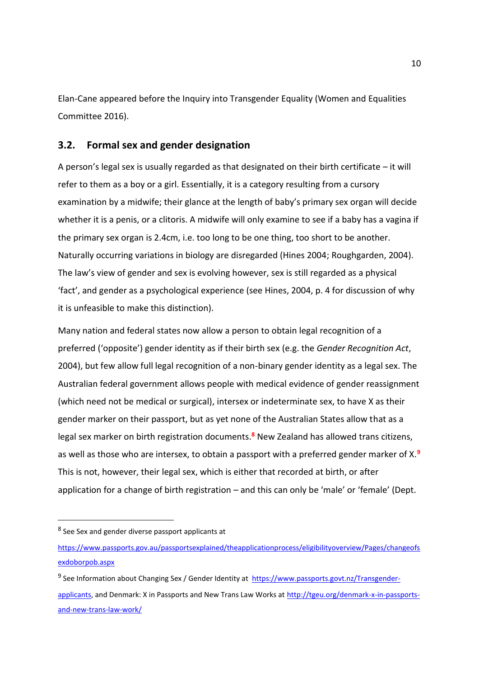Elan-Cane appeared before the Inquiry into Transgender Equality (Women and Equalities Committee 2016).

## **3.2. Formal sex and gender designation**

A person's legal sex is usually regarded as that designated on their birth certificate – it will refer to them as a boy or a girl. Essentially, it is a category resulting from a cursory examination by a midwife; their glance at the length of baby's primary sex organ will decide whether it is a penis, or a clitoris. A midwife will only examine to see if a baby has a vagina if the primary sex organ is 2.4cm, i.e. too long to be one thing, too short to be another. Naturally occurring variations in biology are disregarded (Hines 2004; Roughgarden, 2004). The law's view of gender and sex is evolving however, sex is still regarded as a physical 'fact', and gender as a psychological experience (see Hines, 2004, p. 4 for discussion of why it is unfeasible to make this distinction).

Many nation and federal states now allow a person to obtain legal recognition of a preferred ('opposite') gender identity as if their birth sex (e.g. the *Gender Recognition Act*, 2004), but few allow full legal recognition of a non-binary gender identity as a legal sex. The Australian federal government allows people with medical evidence of gender reassignment (which need not be medical or surgical), intersex or indeterminate sex, to have X as their gender marker on their passport, but as yet none of the Australian States allow that as a legal sex marker on birth registration documents.**<sup>8</sup>** New Zealand has allowed trans citizens, as well as those who are intersex, to obtain a passport with a preferred gender marker of X.**<sup>9</sup>** This is not, however, their legal sex, which is either that recorded at birth, or after application for a change of birth registration – and this can only be 'male' or 'female' (Dept.

<u>.</u>

<sup>&</sup>lt;sup>8</sup> See Sex and gender diverse passport applicants at

[https://www.passports.gov.au/passportsexplained/theapplicationprocess/eligibilityoverview/Pages/changeofs](https://www.passports.gov.au/passportsexplained/theapplicationprocess/eligibilityoverview/Pages/changeofsexdoborpob.aspx) [exdoborpob.aspx](https://www.passports.gov.au/passportsexplained/theapplicationprocess/eligibilityoverview/Pages/changeofsexdoborpob.aspx)

<sup>&</sup>lt;sup>9</sup> See Information about Changing Sex / Gender Identity at [https://www.passports.govt.nz/Transgender](https://www.passports.govt.nz/Transgender-applicants)[applicants,](https://www.passports.govt.nz/Transgender-applicants) and Denmark: X in Passports and New Trans Law Works a[t http://tgeu.org/denmark-x-in-passports](http://tgeu.org/denmark-x-in-passports-and-new-trans-law-work/)[and-new-trans-law-work/](http://tgeu.org/denmark-x-in-passports-and-new-trans-law-work/)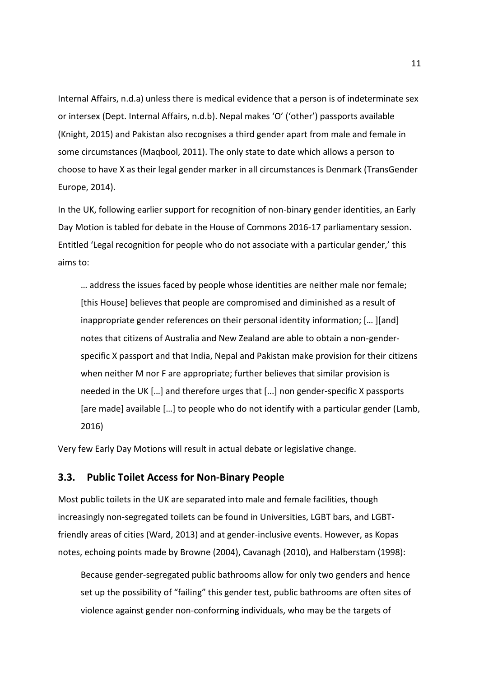Internal Affairs, n.d.a) unless there is medical evidence that a person is of indeterminate sex or intersex (Dept. Internal Affairs, n.d.b). Nepal makes 'O' ('other') passports available (Knight, 2015) and Pakistan also recognises a third gender apart from male and female in some circumstances (Maqbool, 2011). The only state to date which allows a person to choose to have X as their legal gender marker in all circumstances is Denmark (TransGender Europe, 2014).

In the UK, following earlier support for recognition of non-binary gender identities, an Early Day Motion is tabled for debate in the House of Commons 2016-17 parliamentary session. Entitled 'Legal recognition for people who do not associate with a particular gender,' this aims to:

… address the issues faced by people whose identities are neither male nor female; [this House] believes that people are compromised and diminished as a result of inappropriate gender references on their personal identity information; [… ][and] notes that citizens of Australia and New Zealand are able to obtain a non-genderspecific X passport and that India, Nepal and Pakistan make provision for their citizens when neither M nor F are appropriate; further believes that similar provision is needed in the UK […] and therefore urges that [...] non gender-specific X passports [are made] available [...] to people who do not identify with a particular gender (Lamb, 2016)

Very few Early Day Motions will result in actual debate or legislative change.

#### **3.3. Public Toilet Access for Non-Binary People**

Most public toilets in the UK are separated into male and female facilities, though increasingly non-segregated toilets can be found in Universities, LGBT bars, and LGBTfriendly areas of cities (Ward, 2013) and at gender-inclusive events. However, as Kopas notes, echoing points made by Browne (2004), Cavanagh (2010), and Halberstam (1998):

Because gender-segregated public bathrooms allow for only two genders and hence set up the possibility of "failing" this gender test, public bathrooms are often sites of violence against gender non-conforming individuals, who may be the targets of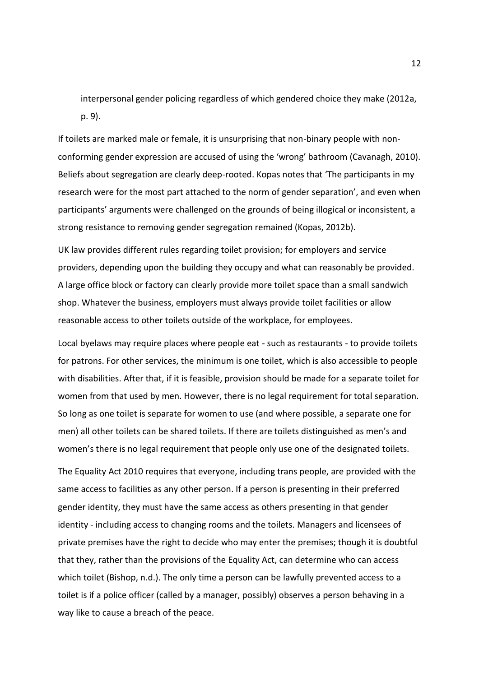interpersonal gender policing regardless of which gendered choice they make (2012a, p. 9).

If toilets are marked male or female, it is unsurprising that non-binary people with nonconforming gender expression are accused of using the 'wrong' bathroom (Cavanagh, 2010). Beliefs about segregation are clearly deep-rooted. Kopas notes that 'The participants in my research were for the most part attached to the norm of gender separation', and even when participants' arguments were challenged on the grounds of being illogical or inconsistent, a strong resistance to removing gender segregation remained (Kopas, 2012b).

UK law provides different rules regarding toilet provision; for employers and service providers, depending upon the building they occupy and what can reasonably be provided. A large office block or factory can clearly provide more toilet space than a small sandwich shop. Whatever the business, employers must always provide toilet facilities or allow reasonable access to other toilets outside of the workplace, for employees.

Local byelaws may require places where people eat - such as restaurants - to provide toilets for patrons. For other services, the minimum is one toilet, which is also accessible to people with disabilities. After that, if it is feasible, provision should be made for a separate toilet for women from that used by men. However, there is no legal requirement for total separation. So long as one toilet is separate for women to use (and where possible, a separate one for men) all other toilets can be shared toilets. If there are toilets distinguished as men's and women's there is no legal requirement that people only use one of the designated toilets.

The Equality Act 2010 requires that everyone, including trans people, are provided with the same access to facilities as any other person. If a person is presenting in their preferred gender identity, they must have the same access as others presenting in that gender identity - including access to changing rooms and the toilets. Managers and licensees of private premises have the right to decide who may enter the premises; though it is doubtful that they, rather than the provisions of the Equality Act, can determine who can access which toilet (Bishop, n.d.). The only time a person can be lawfully prevented access to a toilet is if a police officer (called by a manager, possibly) observes a person behaving in a way like to cause a breach of the peace.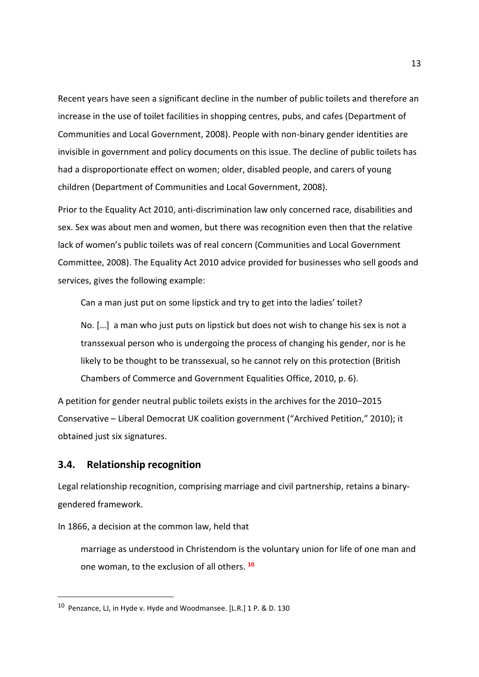Recent years have seen a significant decline in the number of public toilets and therefore an increase in the use of toilet facilities in shopping centres, pubs, and cafes (Department of Communities and Local Government, 2008). People with non-binary gender identities are invisible in government and policy documents on this issue. The decline of public toilets has had a disproportionate effect on women; older, disabled people, and carers of young children (Department of Communities and Local Government, 2008).

Prior to the Equality Act 2010, anti-discrimination law only concerned race, disabilities and sex. Sex was about men and women, but there was recognition even then that the relative lack of women's public toilets was of real concern (Communities and Local Government Committee, 2008). The Equality Act 2010 advice provided for businesses who sell goods and services, gives the following example:

Can a man just put on some lipstick and try to get into the ladies' toilet?

No. […] a man who just puts on lipstick but does not wish to change his sex is not a transsexual person who is undergoing the process of changing his gender, nor is he likely to be thought to be transsexual, so he cannot rely on this protection (British Chambers of Commerce and Government Equalities Office, 2010, p. 6).

A petition for gender neutral public toilets exists in the archives for the 2010–2015 Conservative – Liberal Democrat UK coalition government ("Archived Petition," 2010); it obtained just six signatures.

## **3.4. Relationship recognition**

1

Legal relationship recognition, comprising marriage and civil partnership, retains a binarygendered framework.

In 1866, a decision at the common law, held that

marriage as understood in Christendom is the voluntary union for life of one man and one woman, to the exclusion of all others. **<sup>10</sup>**

<sup>&</sup>lt;sup>10</sup> Penzance, LJ, in Hyde v. Hyde and Woodmansee. [L.R.] 1 P. & D. 130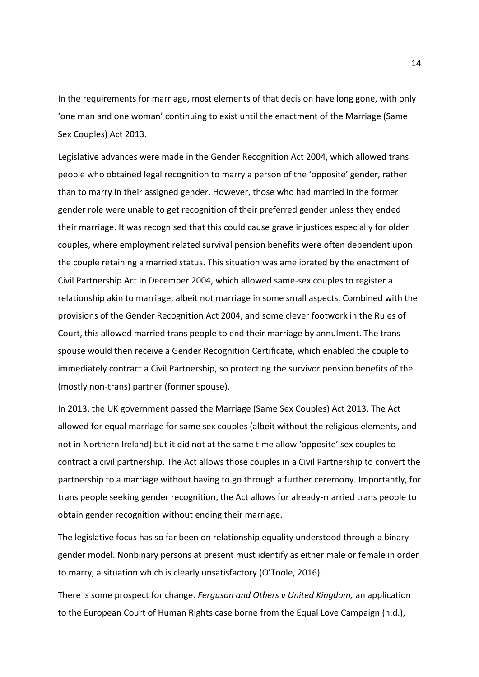In the requirements for marriage, most elements of that decision have long gone, with only 'one man and one woman' continuing to exist until the enactment of the Marriage (Same Sex Couples) Act 2013.

Legislative advances were made in the Gender Recognition Act 2004, which allowed trans people who obtained legal recognition to marry a person of the 'opposite' gender, rather than to marry in their assigned gender. However, those who had married in the former gender role were unable to get recognition of their preferred gender unless they ended their marriage. It was recognised that this could cause grave injustices especially for older couples, where employment related survival pension benefits were often dependent upon the couple retaining a married status. This situation was ameliorated by the enactment of Civil Partnership Act in December 2004, which allowed same-sex couples to register a relationship akin to marriage, albeit not marriage in some small aspects. Combined with the provisions of the Gender Recognition Act 2004, and some clever footwork in the Rules of Court, this allowed married trans people to end their marriage by annulment. The trans spouse would then receive a Gender Recognition Certificate, which enabled the couple to immediately contract a Civil Partnership, so protecting the survivor pension benefits of the (mostly non-trans) partner (former spouse).

In 2013, the UK government passed the Marriage (Same Sex Couples) Act 2013. The Act allowed for equal marriage for same sex couples (albeit without the religious elements, and not in Northern Ireland) but it did not at the same time allow 'opposite' sex couples to contract a civil partnership. The Act allows those couples in a Civil Partnership to convert the partnership to a marriage without having to go through a further ceremony. Importantly, for trans people seeking gender recognition, the Act allows for already-married trans people to obtain gender recognition without ending their marriage.

The legislative focus has so far been on relationship equality understood through a binary gender model. Nonbinary persons at present must identify as either male or female in order to marry, a situation which is clearly unsatisfactory (O'Toole, 2016).

There is some prospect for change. *Ferguson and Others v United Kingdom,* an application to the European Court of Human Rights case borne from the Equal Love Campaign (n.d.),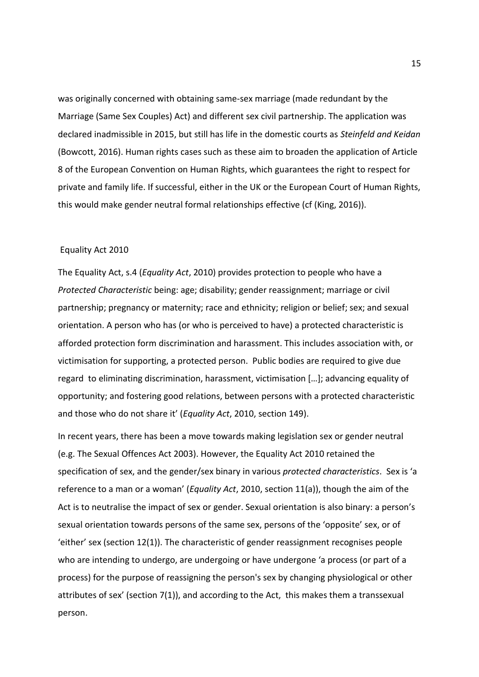was originally concerned with obtaining same-sex marriage (made redundant by the Marriage (Same Sex Couples) Act) and different sex civil partnership. The application was declared inadmissible in 2015, but still has life in the domestic courts as *Steinfeld and Keidan* (Bowcott, 2016). Human rights cases such as these aim to broaden the application of Article 8 of the European Convention on Human Rights, which guarantees the right to respect for private and family life. If successful, either in the UK or the European Court of Human Rights, this would make gender neutral formal relationships effective (cf (King, 2016)).

#### Equality Act 2010

The Equality Act, s.4 (*Equality Act*, 2010) provides protection to people who have a *Protected Characteristic* being: age; disability; gender reassignment; marriage or civil partnership; pregnancy or maternity; race and ethnicity; religion or belief; sex; and sexual orientation. A person who has (or who is perceived to have) a protected characteristic is afforded protection form discrimination and harassment. This includes association with, or victimisation for supporting, a protected person. Public bodies are required to give due regard to eliminating discrimination, harassment, victimisation […]; advancing equality of opportunity; and fostering good relations, between persons with a protected characteristic and those who do not share it' (*Equality Act*, 2010, section 149).

In recent years, there has been a move towards making legislation sex or gender neutral (e.g. The Sexual Offences Act 2003). However, the Equality Act 2010 retained the specification of sex, and the gender/sex binary in various *protected characteristics*. Sex is 'a reference to a man or a woman' (*Equality Act*, 2010, section 11(a)), though the aim of the Act is to neutralise the impact of sex or gender. Sexual orientation is also binary: a person's sexual orientation towards persons of the same sex, persons of the 'opposite' sex, or of 'either' sex (section 12(1)). The characteristic of gender reassignment recognises people who are intending to undergo, are undergoing or have undergone 'a process (or part of a process) for the purpose of reassigning the person's sex by changing physiological or other attributes of sex' (section 7(1)), and according to the Act, this makes them a transsexual person.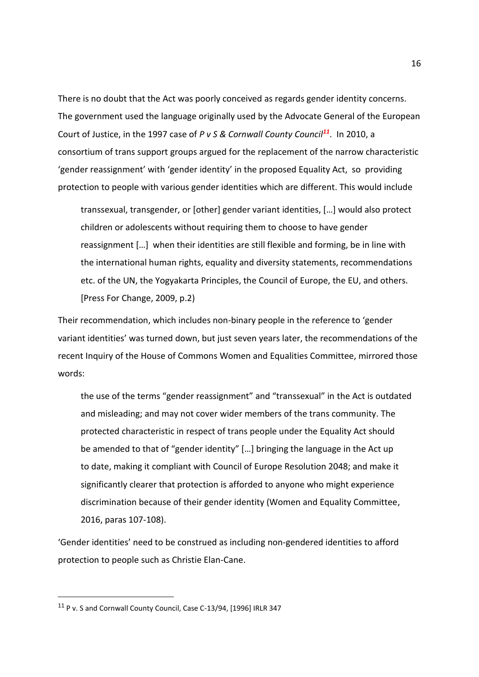There is no doubt that the Act was poorly conceived as regards gender identity concerns. The government used the language originally used by the Advocate General of the European Court of Justice, in the 1997 case of *P v S & Cornwall County Council<sup>11</sup>*. In 2010, a consortium of trans support groups argued for the replacement of the narrow characteristic 'gender reassignment' with 'gender identity' in the proposed Equality Act, so providing protection to people with various gender identities which are different. This would include

transsexual, transgender, or [other] gender variant identities, […] would also protect children or adolescents without requiring them to choose to have gender reassignment […] when their identities are still flexible and forming, be in line with the international human rights, equality and diversity statements, recommendations etc. of the UN, the Yogyakarta Principles, the Council of Europe, the EU, and others. [Press For Change, 2009, p.2)

Their recommendation, which includes non-binary people in the reference to 'gender variant identities' was turned down, but just seven years later, the recommendations of the recent Inquiry of the House of Commons Women and Equalities Committee, mirrored those words:

the use of the terms "gender reassignment" and "transsexual" in the Act is outdated and misleading; and may not cover wider members of the trans community. The protected characteristic in respect of trans people under the Equality Act should be amended to that of "gender identity" […] bringing the language in the Act up to date, making it compliant with Council of Europe Resolution 2048; and make it significantly clearer that protection is afforded to anyone who might experience discrimination because of their gender identity (Women and Equality Committee, 2016, paras 107-108).

'Gender identities' need to be construed as including non-gendered identities to afford protection to people such as Christie Elan-Cane.

1

<sup>11</sup> P v. S and Cornwall County Council, Case C-13/94, [1996] IRLR 347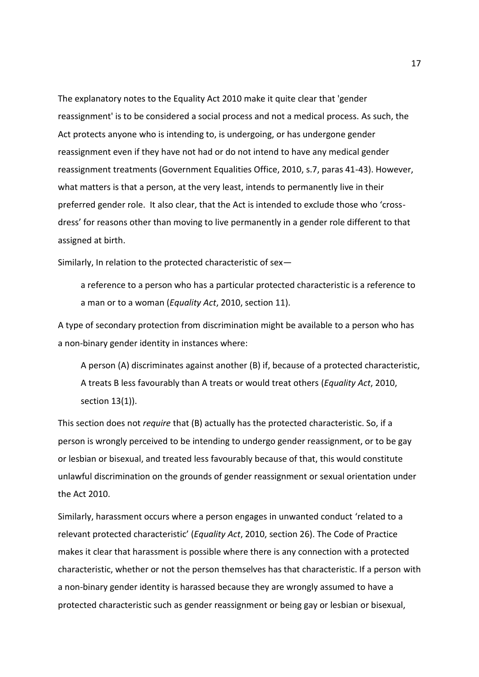The explanatory notes to the Equality Act 2010 make it quite clear that 'gender reassignment' is to be considered a social process and not a medical process. As such, the Act protects anyone who is intending to, is undergoing, or has undergone gender reassignment even if they have not had or do not intend to have any medical gender reassignment treatments (Government Equalities Office, 2010, s.7, paras 41-43). However, what matters is that a person, at the very least, intends to permanently live in their preferred gender role. It also clear, that the Act is intended to exclude those who 'crossdress' for reasons other than moving to live permanently in a gender role different to that assigned at birth.

Similarly, In relation to the protected characteristic of sex—

a reference to a person who has a particular protected characteristic is a reference to a man or to a woman (*Equality Act*, 2010, section 11).

A type of secondary protection from discrimination might be available to a person who has a non-binary gender identity in instances where:

A person (A) discriminates against another (B) if, because of a protected characteristic, A treats B less favourably than A treats or would treat others (*Equality Act*, 2010, section 13(1)).

This section does not *require* that (B) actually has the protected characteristic. So, if a person is wrongly perceived to be intending to undergo gender reassignment, or to be gay or lesbian or bisexual, and treated less favourably because of that, this would constitute unlawful discrimination on the grounds of gender reassignment or sexual orientation under the Act 2010.

Similarly, harassment occurs where a person engages in unwanted conduct 'related to a relevant protected characteristic' (*Equality Act*, 2010, section 26). The Code of Practice makes it clear that harassment is possible where there is any connection with a protected characteristic, whether or not the person themselves has that characteristic. If a person with a non-binary gender identity is harassed because they are wrongly assumed to have a protected characteristic such as gender reassignment or being gay or lesbian or bisexual,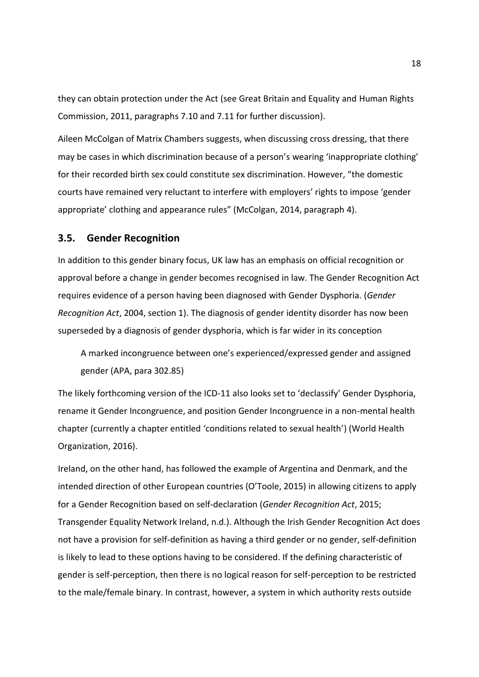they can obtain protection under the Act (see Great Britain and Equality and Human Rights Commission, 2011, paragraphs 7.10 and 7.11 for further discussion).

Aileen McColgan of Matrix Chambers suggests, when discussing cross dressing, that there may be cases in which discrimination because of a person's wearing 'inappropriate clothing' for their recorded birth sex could constitute sex discrimination. However, "the domestic courts have remained very reluctant to interfere with employers' rights to impose 'gender appropriate' clothing and appearance rules" (McColgan, 2014, paragraph 4).

#### **3.5. Gender Recognition**

In addition to this gender binary focus, UK law has an emphasis on official recognition or approval before a change in gender becomes recognised in law. The Gender Recognition Act requires evidence of a person having been diagnosed with Gender Dysphoria. (*Gender Recognition Act*, 2004, section 1). The diagnosis of gender identity disorder has now been superseded by a diagnosis of gender dysphoria, which is far wider in its conception

A marked incongruence between one's experienced/expressed gender and assigned gender (APA, para 302.85)

The likely forthcoming version of the ICD-11 also looks set to 'declassify' Gender Dysphoria, rename it Gender Incongruence, and position Gender Incongruence in a non-mental health chapter (currently a chapter entitled 'conditions related to sexual health') (World Health Organization, 2016).

Ireland, on the other hand, has followed the example of Argentina and Denmark, and the intended direction of other European countries (O'Toole, 2015) in allowing citizens to apply for a Gender Recognition based on self-declaration (*Gender Recognition Act*, 2015; Transgender Equality Network Ireland, n.d.). Although the Irish Gender Recognition Act does not have a provision for self-definition as having a third gender or no gender, self-definition is likely to lead to these options having to be considered. If the defining characteristic of gender is self-perception, then there is no logical reason for self-perception to be restricted to the male/female binary. In contrast, however, a system in which authority rests outside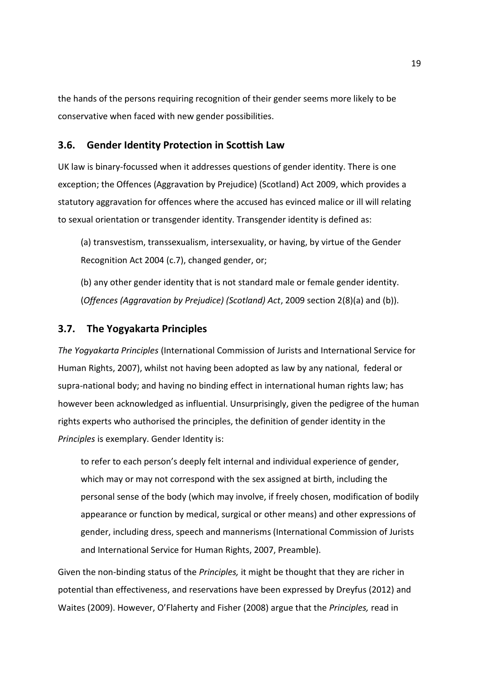the hands of the persons requiring recognition of their gender seems more likely to be conservative when faced with new gender possibilities.

## **3.6. Gender Identity Protection in Scottish Law**

UK law is binary-focussed when it addresses questions of gender identity. There is one exception; the Offences (Aggravation by Prejudice) (Scotland) Act 2009, which provides a statutory aggravation for offences where the accused has evinced malice or ill will relating to sexual orientation or transgender identity. Transgender identity is defined as:

(a) transvestism, transsexualism, intersexuality, or having, by virtue of the Gender Recognition Act 2004 (c.7), changed gender, or;

(b) any other gender identity that is not standard male or female gender identity. (*Offences (Aggravation by Prejudice) (Scotland) Act*, 2009 section 2(8)(a) and (b)).

#### **3.7. The Yogyakarta Principles**

*The Yogyakarta Principles* (International Commission of Jurists and International Service for Human Rights, 2007), whilst not having been adopted as law by any national, federal or supra-national body; and having no binding effect in international human rights law; has however been acknowledged as influential. Unsurprisingly, given the pedigree of the human rights experts who authorised the principles, the definition of gender identity in the *Principles* is exemplary. Gender Identity is:

to refer to each person's deeply felt internal and individual experience of gender, which may or may not correspond with the sex assigned at birth, including the personal sense of the body (which may involve, if freely chosen, modification of bodily appearance or function by medical, surgical or other means) and other expressions of gender, including dress, speech and mannerisms (International Commission of Jurists and International Service for Human Rights, 2007, Preamble).

Given the non-binding status of the *Principles,* it might be thought that they are richer in potential than effectiveness, and reservations have been expressed by Dreyfus (2012) and Waites (2009). However, O'Flaherty and Fisher (2008) argue that the *Principles,* read in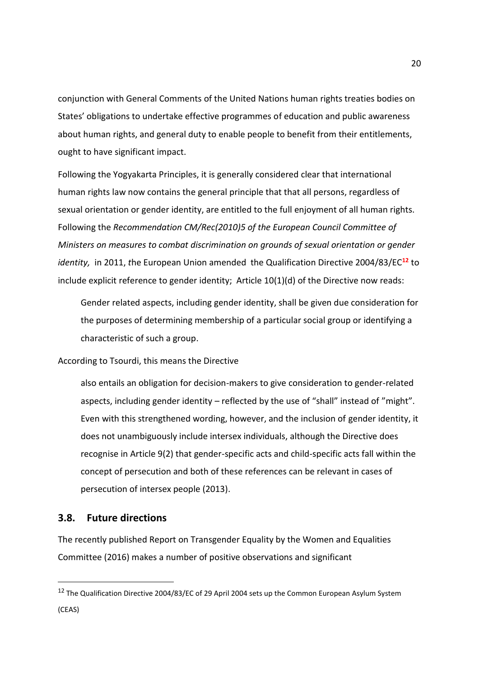conjunction with General Comments of the United Nations human rights treaties bodies on States' obligations to undertake effective programmes of education and public awareness about human rights, and general duty to enable people to benefit from their entitlements, ought to have significant impact.

Following the Yogyakarta Principles, it is generally considered clear that international human rights law now contains the general principle that that all persons, regardless of sexual orientation or gender identity, are entitled to the full enjoyment of all human rights. Following the *Recommendation CM/Rec(2010)5 of the European Council Committee of Ministers on measures to combat discrimination on grounds of sexual orientation or gender identity,* in 2011, *t*he European Union amended the Qualification Directive 2004/83/EC**<sup>12</sup>** to include explicit reference to gender identity; Article 10(1)(d) of the Directive now reads:

Gender related aspects, including gender identity, shall be given due consideration for the purposes of determining membership of a particular social group or identifying a characteristic of such a group.

#### According to Tsourdi, this means the Directive

also entails an obligation for decision-makers to give consideration to gender-related aspects, including gender identity – reflected by the use of "shall" instead of "might". Even with this strengthened wording, however, and the inclusion of gender identity, it does not unambiguously include intersex individuals, although the Directive does recognise in Article 9(2) that gender-specific acts and child-specific acts fall within the concept of persecution and both of these references can be relevant in cases of persecution of intersex people (2013).

## **3.8. Future directions**

<u>.</u>

The recently published Report on Transgender Equality by the Women and Equalities Committee (2016) makes a number of positive observations and significant

<sup>&</sup>lt;sup>12</sup> The Qualification Directive 2004/83/EC of 29 April 2004 sets up the Common European Asylum System (CEAS)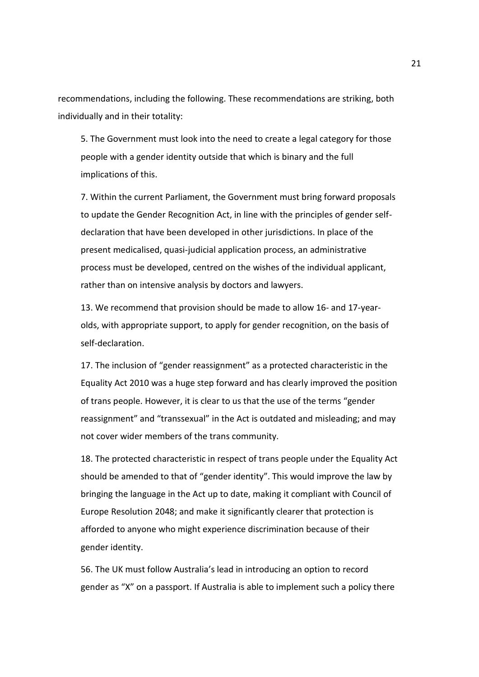recommendations, including the following. These recommendations are striking, both individually and in their totality:

5. The Government must look into the need to create a legal category for those people with a gender identity outside that which is binary and the full implications of this.

7. Within the current Parliament, the Government must bring forward proposals to update the Gender Recognition Act, in line with the principles of gender selfdeclaration that have been developed in other jurisdictions. In place of the present medicalised, quasi-judicial application process, an administrative process must be developed, centred on the wishes of the individual applicant, rather than on intensive analysis by doctors and lawyers.

13. We recommend that provision should be made to allow 16- and 17-yearolds, with appropriate support, to apply for gender recognition, on the basis of self-declaration.

17. The inclusion of "gender reassignment" as a protected characteristic in the Equality Act 2010 was a huge step forward and has clearly improved the position of trans people. However, it is clear to us that the use of the terms "gender reassignment" and "transsexual" in the Act is outdated and misleading; and may not cover wider members of the trans community.

18. The protected characteristic in respect of trans people under the Equality Act should be amended to that of "gender identity". This would improve the law by bringing the language in the Act up to date, making it compliant with Council of Europe Resolution 2048; and make it significantly clearer that protection is afforded to anyone who might experience discrimination because of their gender identity.

56. The UK must follow Australia's lead in introducing an option to record gender as "X" on a passport. If Australia is able to implement such a policy there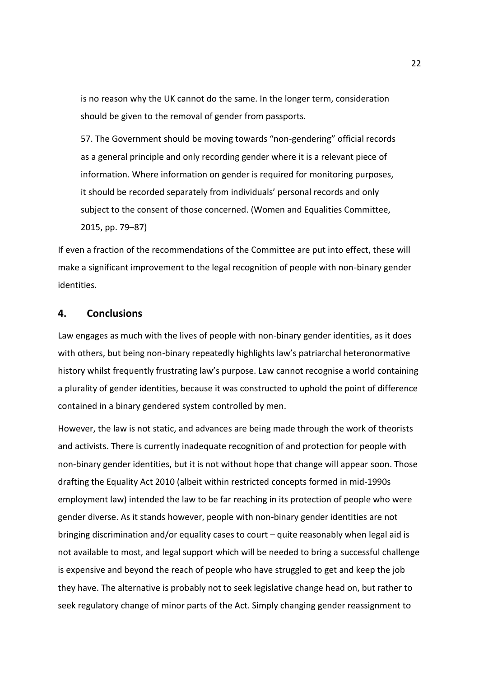is no reason why the UK cannot do the same. In the longer term, consideration should be given to the removal of gender from passports.

57. The Government should be moving towards "non-gendering" official records as a general principle and only recording gender where it is a relevant piece of information. Where information on gender is required for monitoring purposes, it should be recorded separately from individuals' personal records and only subject to the consent of those concerned. (Women and Equalities Committee, 2015, pp. 79–87)

If even a fraction of the recommendations of the Committee are put into effect, these will make a significant improvement to the legal recognition of people with non-binary gender identities.

## **4. Conclusions**

Law engages as much with the lives of people with non-binary gender identities, as it does with others, but being non-binary repeatedly highlights law's patriarchal heteronormative history whilst frequently frustrating law's purpose. Law cannot recognise a world containing a plurality of gender identities, because it was constructed to uphold the point of difference contained in a binary gendered system controlled by men.

However, the law is not static, and advances are being made through the work of theorists and activists. There is currently inadequate recognition of and protection for people with non-binary gender identities, but it is not without hope that change will appear soon. Those drafting the Equality Act 2010 (albeit within restricted concepts formed in mid-1990s employment law) intended the law to be far reaching in its protection of people who were gender diverse. As it stands however, people with non-binary gender identities are not bringing discrimination and/or equality cases to court – quite reasonably when legal aid is not available to most, and legal support which will be needed to bring a successful challenge is expensive and beyond the reach of people who have struggled to get and keep the job they have. The alternative is probably not to seek legislative change head on, but rather to seek regulatory change of minor parts of the Act. Simply changing gender reassignment to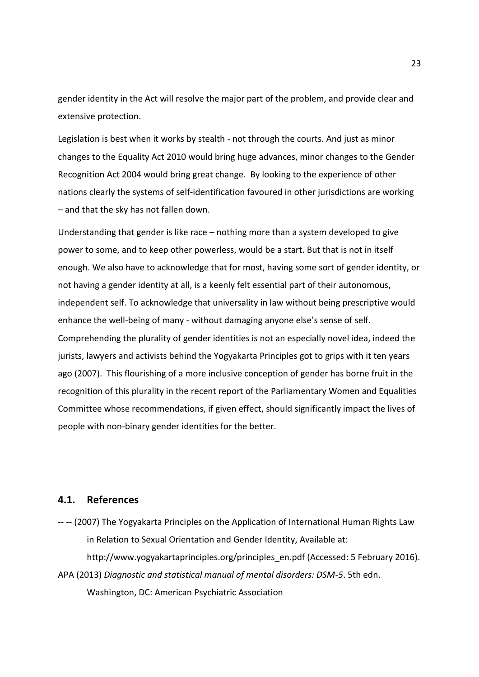gender identity in the Act will resolve the major part of the problem, and provide clear and extensive protection.

Legislation is best when it works by stealth - not through the courts. And just as minor changes to the Equality Act 2010 would bring huge advances, minor changes to the Gender Recognition Act 2004 would bring great change. By looking to the experience of other nations clearly the systems of self-identification favoured in other jurisdictions are working – and that the sky has not fallen down.

Understanding that gender is like race – nothing more than a system developed to give power to some, and to keep other powerless, would be a start. But that is not in itself enough. We also have to acknowledge that for most, having some sort of gender identity, or not having a gender identity at all, is a keenly felt essential part of their autonomous, independent self. To acknowledge that universality in law without being prescriptive would enhance the well-being of many - without damaging anyone else's sense of self. Comprehending the plurality of gender identities is not an especially novel idea, indeed the jurists, lawyers and activists behind the Yogyakarta Principles got to grips with it ten years ago (2007). This flourishing of a more inclusive conception of gender has borne fruit in the recognition of this plurality in the recent report of the Parliamentary Women and Equalities Committee whose recommendations, if given effect, should significantly impact the lives of people with non-binary gender identities for the better.

### **4.1. References**

-- -- (2007) The Yogyakarta Principles on the Application of International Human Rights Law in Relation to Sexual Orientation and Gender Identity, Available at: http://www.yogyakartaprinciples.org/principles\_en.pdf (Accessed: 5 February 2016). APA (2013) *Diagnostic and statistical manual of mental disorders: DSM-5*. 5th edn.

Washington, DC: American Psychiatric Association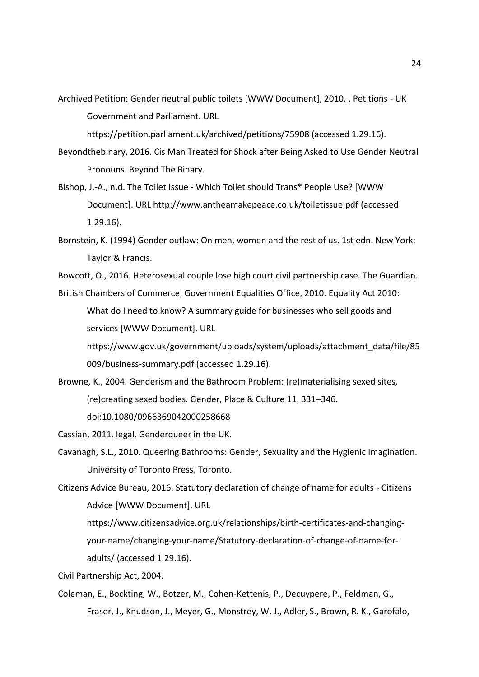Archived Petition: Gender neutral public toilets [WWW Document], 2010. . Petitions - UK Government and Parliament. URL

https://petition.parliament.uk/archived/petitions/75908 (accessed 1.29.16).

- Beyondthebinary, 2016. Cis Man Treated for Shock after Being Asked to Use Gender Neutral Pronouns. Beyond The Binary.
- Bishop, J.-A., n.d. The Toilet Issue Which Toilet should Trans\* People Use? [WWW Document]. URL http://www.antheamakepeace.co.uk/toiletissue.pdf (accessed 1.29.16).
- Bornstein, K. (1994) Gender outlaw: On men, women and the rest of us. 1st edn. New York: Taylor & Francis.

Bowcott, O., 2016. Heterosexual couple lose high court civil partnership case. The Guardian.

British Chambers of Commerce, Government Equalities Office, 2010. Equality Act 2010: What do I need to know? A summary guide for businesses who sell goods and services [WWW Document]. URL

https://www.gov.uk/government/uploads/system/uploads/attachment\_data/file/85 009/business-summary.pdf (accessed 1.29.16).

Browne, K., 2004. Genderism and the Bathroom Problem: (re)materialising sexed sites, (re)creating sexed bodies. Gender, Place & Culture 11, 331–346.

doi:10.1080/0966369042000258668

Cassian, 2011. legal. Genderqueer in the UK.

- Cavanagh, S.L., 2010. Queering Bathrooms: Gender, Sexuality and the Hygienic Imagination. University of Toronto Press, Toronto.
- Citizens Advice Bureau, 2016. Statutory declaration of change of name for adults Citizens Advice [WWW Document]. URL

https://www.citizensadvice.org.uk/relationships/birth-certificates-and-changingyour-name/changing-your-name/Statutory-declaration-of-change-of-name-foradults/ (accessed 1.29.16).

Civil Partnership Act, 2004.

Coleman, E., Bockting, W., Botzer, M., Cohen-Kettenis, P., Decuypere, P., Feldman, G., Fraser, J., Knudson, J., Meyer, G., Monstrey, W. J., Adler, S., Brown, R. K., Garofalo,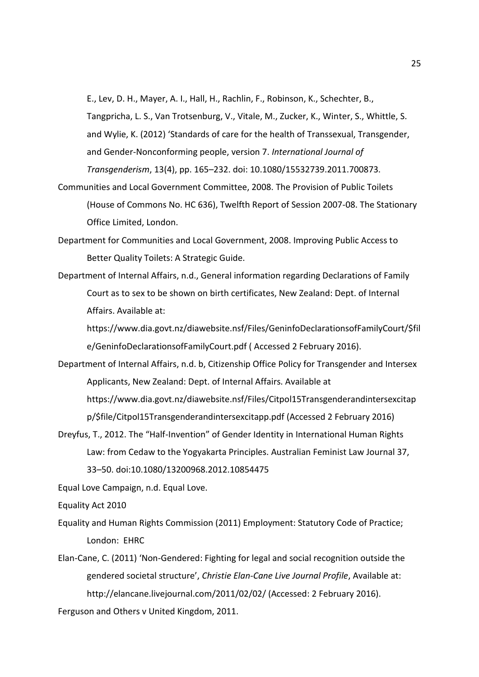E., Lev, D. H., Mayer, A. I., Hall, H., Rachlin, F., Robinson, K., Schechter, B., Tangpricha, L. S., Van Trotsenburg, V., Vitale, M., Zucker, K., Winter, S., Whittle, S. and Wylie, K. (2012) 'Standards of care for the health of Transsexual, Transgender, and Gender-Nonconforming people, version 7. *International Journal of Transgenderism*, 13(4), pp. 165–232. doi: 10.1080/15532739.2011.700873.

- Communities and Local Government Committee, 2008. The Provision of Public Toilets (House of Commons No. HC 636), Twelfth Report of Session 2007-08. The Stationary Office Limited, London.
- Department for Communities and Local Government, 2008. Improving Public Access to Better Quality Toilets: A Strategic Guide.
- Department of Internal Affairs, n.d., General information regarding Declarations of Family Court as to sex to be shown on birth certificates, New Zealand: Dept. of Internal Affairs. Available at:

https://www.dia.govt.nz/diawebsite.nsf/Files/GeninfoDeclarationsofFamilyCourt/\$fil e/GeninfoDeclarationsofFamilyCourt.pdf ( Accessed 2 February 2016).

- Department of Internal Affairs, n.d. b, Citizenship Office Policy for Transgender and Intersex Applicants, New Zealand: Dept. of Internal Affairs. Available at https://www.dia.govt.nz/diawebsite.nsf/Files/Citpol15Transgenderandintersexcitap p/\$file/Citpol15Transgenderandintersexcitapp.pdf (Accessed 2 February 2016)
- Dreyfus, T., 2012. The "Half-Invention" of Gender Identity in International Human Rights Law: from Cedaw to the Yogyakarta Principles. Australian Feminist Law Journal 37, 33–50. doi:10.1080/13200968.2012.10854475

Equal Love Campaign, n.d. Equal Love.

Equality Act 2010

- Equality and Human Rights Commission (2011) Employment: Statutory Code of Practice; London: EHRC
- Elan-Cane, C. (2011) 'Non-Gendered: Fighting for legal and social recognition outside the gendered societal structure', *Christie Elan-Cane Live Journal Profile*, Available at: http://elancane.livejournal.com/2011/02/02/ (Accessed: 2 February 2016).

Ferguson and Others v United Kingdom, 2011.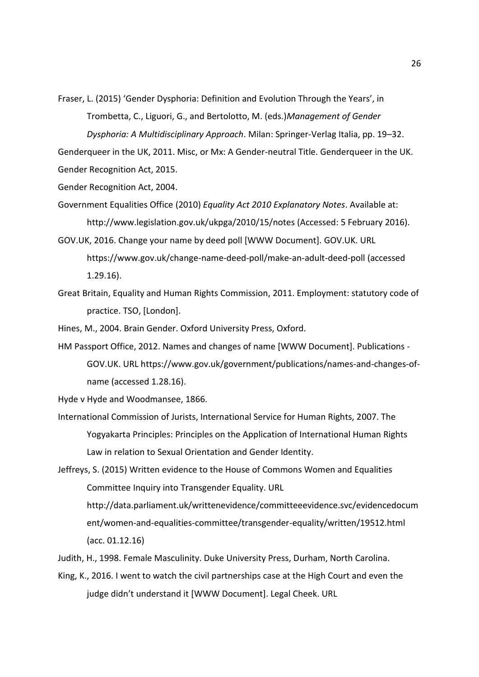Fraser, L. (2015) 'Gender Dysphoria: Definition and Evolution Through the Years', in

Trombetta, C., Liguori, G., and Bertolotto, M. (eds.)*Management of Gender Dysphoria: A Multidisciplinary Approach*. Milan: Springer-Verlag Italia, pp. 19–32. Genderqueer in the UK, 2011. Misc, or Mx: A Gender-neutral Title. Genderqueer in the UK.

Gender Recognition Act, 2015.

Gender Recognition Act, 2004.

- Government Equalities Office (2010) *Equality Act 2010 Explanatory Notes*. Available at: http://www.legislation.gov.uk/ukpga/2010/15/notes (Accessed: 5 February 2016).
- GOV.UK, 2016. Change your name by deed poll [WWW Document]. GOV.UK. URL https://www.gov.uk/change-name-deed-poll/make-an-adult-deed-poll (accessed 1.29.16).
- Great Britain, Equality and Human Rights Commission, 2011. Employment: statutory code of practice. TSO, [London].

Hines, M., 2004. Brain Gender. Oxford University Press, Oxford.

HM Passport Office, 2012. Names and changes of name [WWW Document]. Publications - GOV.UK. URL https://www.gov.uk/government/publications/names-and-changes-ofname (accessed 1.28.16).

Hyde v Hyde and Woodmansee, 1866.

- International Commission of Jurists, International Service for Human Rights, 2007. The Yogyakarta Principles: Principles on the Application of International Human Rights Law in relation to Sexual Orientation and Gender Identity.
- Jeffreys, S. (2015) Written evidence to the House of Commons Women and Equalities Committee Inquiry into Transgender Equality. URL

http://data.parliament.uk/writtenevidence/committeeevidence.svc/evidencedocum ent/women-and-equalities-committee/transgender-equality/written/19512.html (acc. 01.12.16)

Judith, H., 1998. Female Masculinity. Duke University Press, Durham, North Carolina.

King, K., 2016. I went to watch the civil partnerships case at the High Court and even the judge didn't understand it [WWW Document]. Legal Cheek. URL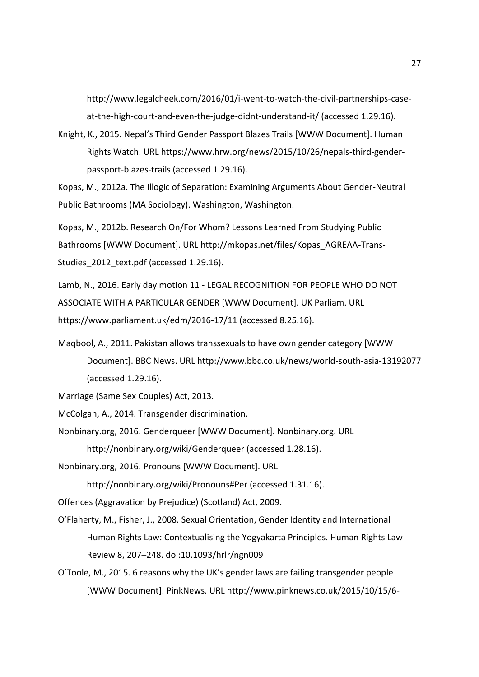http://www.legalcheek.com/2016/01/i-went-to-watch-the-civil-partnerships-caseat-the-high-court-and-even-the-judge-didnt-understand-it/ (accessed 1.29.16).

Knight, K., 2015. Nepal's Third Gender Passport Blazes Trails [WWW Document]. Human Rights Watch. URL https://www.hrw.org/news/2015/10/26/nepals-third-genderpassport-blazes-trails (accessed 1.29.16).

Kopas, M., 2012a. The Illogic of Separation: Examining Arguments About Gender-Neutral Public Bathrooms (MA Sociology). Washington, Washington.

Kopas, M., 2012b. Research On/For Whom? Lessons Learned From Studying Public Bathrooms [WWW Document]. URL http://mkopas.net/files/Kopas\_AGREAA-Trans-Studies 2012 text.pdf (accessed 1.29.16).

Lamb, N., 2016. Early day motion 11 - LEGAL RECOGNITION FOR PEOPLE WHO DO NOT ASSOCIATE WITH A PARTICULAR GENDER [WWW Document]. UK Parliam. URL https://www.parliament.uk/edm/2016-17/11 (accessed 8.25.16).

Maqbool, A., 2011. Pakistan allows transsexuals to have own gender category [WWW Document]. BBC News. URL http://www.bbc.co.uk/news/world-south-asia-13192077 (accessed 1.29.16).

Marriage (Same Sex Couples) Act, 2013.

McColgan, A., 2014. Transgender discrimination.

Nonbinary.org, 2016. Genderqueer [WWW Document]. Nonbinary.org. URL http://nonbinary.org/wiki/Genderqueer (accessed 1.28.16).

Nonbinary.org, 2016. Pronouns [WWW Document]. URL

http://nonbinary.org/wiki/Pronouns#Per (accessed 1.31.16).

Offences (Aggravation by Prejudice) (Scotland) Act, 2009.

O'Flaherty, M., Fisher, J., 2008. Sexual Orientation, Gender Identity and International Human Rights Law: Contextualising the Yogyakarta Principles. Human Rights Law Review 8, 207–248. doi:10.1093/hrlr/ngn009

O'Toole, M., 2015. 6 reasons why the UK's gender laws are failing transgender people [WWW Document]. PinkNews. URL http://www.pinknews.co.uk/2015/10/15/6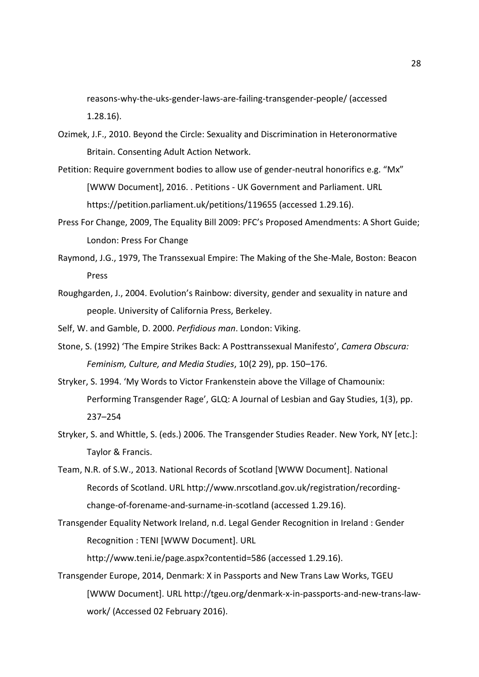reasons-why-the-uks-gender-laws-are-failing-transgender-people/ (accessed 1.28.16).

- Ozimek, J.F., 2010. Beyond the Circle: Sexuality and Discrimination in Heteronormative Britain. Consenting Adult Action Network.
- Petition: Require government bodies to allow use of gender-neutral honorifics e.g. "Mx" [WWW Document], 2016. . Petitions - UK Government and Parliament. URL https://petition.parliament.uk/petitions/119655 (accessed 1.29.16).
- Press For Change, 2009, The Equality Bill 2009: PFC's Proposed Amendments: A Short Guide; London: Press For Change
- Raymond, J.G., 1979, The Transsexual Empire: The Making of the She-Male, Boston: Beacon Press
- Roughgarden, J., 2004. Evolution's Rainbow: diversity, gender and sexuality in nature and people. University of California Press, Berkeley.
- Self, W. and Gamble, D. 2000. *Perfidious man*. London: Viking.
- Stone, S. (1992) 'The Empire Strikes Back: A Posttranssexual Manifesto', *Camera Obscura: Feminism, Culture, and Media Studies*, 10(2 29), pp. 150–176.
- Stryker, S. 1994. 'My Words to Victor Frankenstein above the Village of Chamounix: Performing Transgender Rage', GLQ: A Journal of Lesbian and Gay Studies, 1(3), pp. 237–254
- Stryker, S. and Whittle, S. (eds.) 2006. The Transgender Studies Reader. New York, NY [etc.]: Taylor & Francis.
- Team, N.R. of S.W., 2013. National Records of Scotland [WWW Document]. National Records of Scotland. URL http://www.nrscotland.gov.uk/registration/recordingchange-of-forename-and-surname-in-scotland (accessed 1.29.16).
- Transgender Equality Network Ireland, n.d. Legal Gender Recognition in Ireland : Gender Recognition : TENI [WWW Document]. URL

http://www.teni.ie/page.aspx?contentid=586 (accessed 1.29.16).

Transgender Europe, 2014, Denmark: X in Passports and New Trans Law Works, TGEU [WWW Document]. URL http://tgeu.org/denmark-x-in-passports-and-new-trans-lawwork/ (Accessed 02 February 2016).